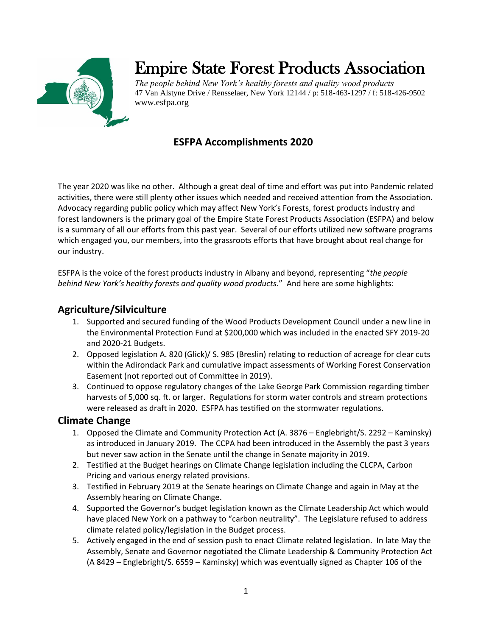

# Empire State Forest Products Association

*The people behind New York's healthy forests and quality wood products* 47 Van Alstyne Drive / Rensselaer, New York 12144 / p: 518-463-1297 / f: 518-426-9502 www.esfpa.org

# **ESFPA Accomplishments 2020**

The year 2020 was like no other. Although a great deal of time and effort was put into Pandemic related activities, there were still plenty other issues which needed and received attention from the Association. Advocacy regarding public policy which may affect New York's Forests, forest products industry and forest landowners is the primary goal of the Empire State Forest Products Association (ESFPA) and below is a summary of all our efforts from this past year. Several of our efforts utilized new software programs which engaged you, our members, into the grassroots efforts that have brought about real change for our industry.

ESFPA is the voice of the forest products industry in Albany and beyond, representing "*the people behind New York's healthy forests and quality wood products*." And here are some highlights:

# **Agriculture/Silviculture**

- 1. Supported and secured funding of the Wood Products Development Council under a new line in the Environmental Protection Fund at \$200,000 which was included in the enacted SFY 2019-20 and 2020-21 Budgets.
- 2. Opposed legislation A. 820 (Glick)/ S. 985 (Breslin) relating to reduction of acreage for clear cuts within the Adirondack Park and cumulative impact assessments of Working Forest Conservation Easement (not reported out of Committee in 2019).
- 3. Continued to oppose regulatory changes of the Lake George Park Commission regarding timber harvests of 5,000 sq. ft. or larger. Regulations for storm water controls and stream protections were released as draft in 2020. ESFPA has testified on the stormwater regulations.

# **Climate Change**

- 1. Opposed the Climate and Community Protection Act (A. 3876 Englebright/S. 2292 Kaminsky) as introduced in January 2019. The CCPA had been introduced in the Assembly the past 3 years but never saw action in the Senate until the change in Senate majority in 2019.
- 2. Testified at the Budget hearings on Climate Change legislation including the CLCPA, Carbon Pricing and various energy related provisions.
- 3. Testified in February 2019 at the Senate hearings on Climate Change and again in May at the Assembly hearing on Climate Change.
- 4. Supported the Governor's budget legislation known as the Climate Leadership Act which would have placed New York on a pathway to "carbon neutrality". The Legislature refused to address climate related policy/legislation in the Budget process.
- 5. Actively engaged in the end of session push to enact Climate related legislation. In late May the Assembly, Senate and Governor negotiated the Climate Leadership & Community Protection Act (A 8429 – Englebright/S. 6559 – Kaminsky) which was eventually signed as Chapter 106 of the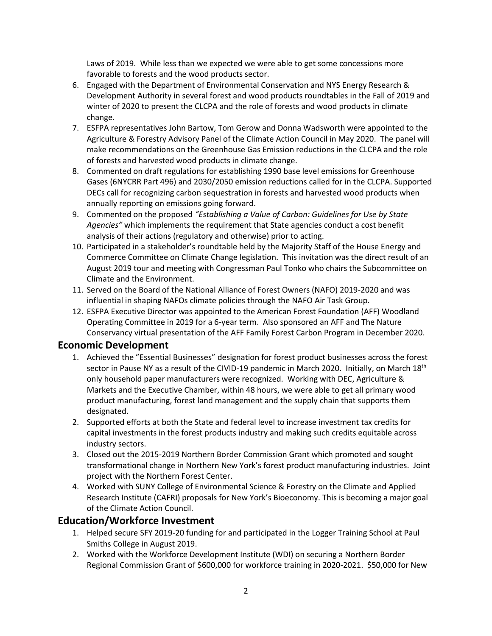Laws of 2019. While less than we expected we were able to get some concessions more favorable to forests and the wood products sector.

- 6. Engaged with the Department of Environmental Conservation and NYS Energy Research & Development Authority in several forest and wood products roundtables in the Fall of 2019 and winter of 2020 to present the CLCPA and the role of forests and wood products in climate change.
- 7. ESFPA representatives John Bartow, Tom Gerow and Donna Wadsworth were appointed to the Agriculture & Forestry Advisory Panel of the Climate Action Council in May 2020. The panel will make recommendations on the Greenhouse Gas Emission reductions in the CLCPA and the role of forests and harvested wood products in climate change.
- 8. Commented on draft regulations for establishing 1990 base level emissions for Greenhouse Gases (6NYCRR Part 496) and 2030/2050 emission reductions called for in the CLCPA. Supported DECs call for recognizing carbon sequestration in forests and harvested wood products when annually reporting on emissions going forward.
- 9. Commented on the proposed *"Establishing a Value of Carbon: Guidelines for Use by State Agencies"* which implements the requirement that State agencies conduct a cost benefit analysis of their actions (regulatory and otherwise) prior to acting.
- 10. Participated in a stakeholder's roundtable held by the Majority Staff of the House Energy and Commerce Committee on Climate Change legislation. This invitation was the direct result of an August 2019 tour and meeting with Congressman Paul Tonko who chairs the Subcommittee on Climate and the Environment.
- 11. Served on the Board of the National Alliance of Forest Owners (NAFO) 2019-2020 and was influential in shaping NAFOs climate policies through the NAFO Air Task Group.
- 12. ESFPA Executive Director was appointed to the American Forest Foundation (AFF) Woodland Operating Committee in 2019 for a 6-year term. Also sponsored an AFF and The Nature Conservancy virtual presentation of the AFF Family Forest Carbon Program in December 2020.

#### **Economic Development**

- 1. Achieved the "Essential Businesses" designation for forest product businesses across the forest sector in Pause NY as a result of the CIVID-19 pandemic in March 2020. Initially, on March 18<sup>th</sup> only household paper manufacturers were recognized. Working with DEC, Agriculture & Markets and the Executive Chamber, within 48 hours, we were able to get all primary wood product manufacturing, forest land management and the supply chain that supports them designated.
- 2. Supported efforts at both the State and federal level to increase investment tax credits for capital investments in the forest products industry and making such credits equitable across industry sectors.
- 3. Closed out the 2015-2019 Northern Border Commission Grant which promoted and sought transformational change in Northern New York's forest product manufacturing industries. Joint project with the Northern Forest Center.
- 4. Worked with SUNY College of Environmental Science & Forestry on the Climate and Applied Research Institute (CAFRI) proposals for New York's Bioeconomy. This is becoming a major goal of the Climate Action Council.

# **Education/Workforce Investment**

- 1. Helped secure SFY 2019-20 funding for and participated in the Logger Training School at Paul Smiths College in August 2019.
- 2. Worked with the Workforce Development Institute (WDI) on securing a Northern Border Regional Commission Grant of \$600,000 for workforce training in 2020-2021. \$50,000 for New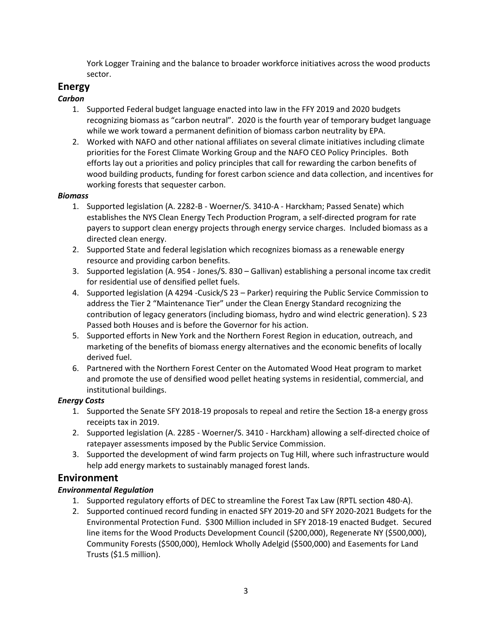York Logger Training and the balance to broader workforce initiatives across the wood products sector.

# **Energy**

## *Carbon*

- 1. Supported Federal budget language enacted into law in the FFY 2019 and 2020 budgets recognizing biomass as "carbon neutral". 2020 is the fourth year of temporary budget language while we work toward a permanent definition of biomass carbon neutrality by EPA.
- 2. Worked with NAFO and other national affiliates on several climate initiatives including climate priorities for the Forest Climate Working Group and the NAFO CEO Policy Principles. Both efforts lay out a priorities and policy principles that call for rewarding the carbon benefits of wood building products, funding for forest carbon science and data collection, and incentives for working forests that sequester carbon.

#### *Biomass*

- 1. Supported legislation (A. 2282-B Woerner/S. 3410-A Harckham; Passed Senate) which establishes the NYS Clean Energy Tech Production Program, a self-directed program for rate payers to support clean energy projects through energy service charges. Included biomass as a directed clean energy.
- 2. Supported State and federal legislation which recognizes biomass as a renewable energy resource and providing carbon benefits.
- 3. Supported legislation (A. 954 Jones/S. 830 Gallivan) establishing a personal income tax credit for residential use of densified pellet fuels.
- 4. Supported legislation (A 4294 -Cusick/S 23 Parker) requiring the Public Service Commission to address the Tier 2 "Maintenance Tier" under the Clean Energy Standard recognizing the contribution of legacy generators (including biomass, hydro and wind electric generation). S 23 Passed both Houses and is before the Governor for his action.
- 5. Supported efforts in New York and the Northern Forest Region in education, outreach, and marketing of the benefits of biomass energy alternatives and the economic benefits of locally derived fuel.
- 6. Partnered with the Northern Forest Center on the Automated Wood Heat program to market and promote the use of densified wood pellet heating systems in residential, commercial, and institutional buildings.

## *Energy Costs*

- 1. Supported the Senate SFY 2018-19 proposals to repeal and retire the Section 18-a energy gross receipts tax in 2019.
- 2. Supported legislation (A. 2285 Woerner/S. 3410 Harckham) allowing a self-directed choice of ratepayer assessments imposed by the Public Service Commission.
- 3. Supported the development of wind farm projects on Tug Hill, where such infrastructure would help add energy markets to sustainably managed forest lands.

# **Environment**

## *Environmental Regulation*

- 1. Supported regulatory efforts of DEC to streamline the Forest Tax Law (RPTL section 480-A).
- 2. Supported continued record funding in enacted SFY 2019-20 and SFY 2020-2021 Budgets for the Environmental Protection Fund. \$300 Million included in SFY 2018-19 enacted Budget. Secured line items for the Wood Products Development Council (\$200,000), Regenerate NY (\$500,000), Community Forests (\$500,000), Hemlock Wholly Adelgid (\$500,000) and Easements for Land Trusts (\$1.5 million).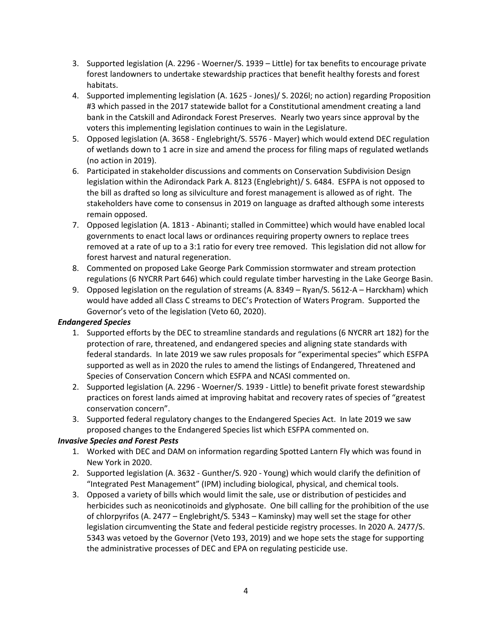- 3. Supported legislation (A. 2296 Woerner/S. 1939 Little) for tax benefits to encourage private forest landowners to undertake stewardship practices that benefit healthy forests and forest habitats.
- 4. Supported implementing legislation (A. 1625 Jones)/ S. 2026l; no action) regarding Proposition #3 which passed in the 2017 statewide ballot for a Constitutional amendment creating a land bank in the Catskill and Adirondack Forest Preserves. Nearly two years since approval by the voters this implementing legislation continues to wain in the Legislature.
- 5. Opposed legislation (A. 3658 Englebright/S. 5576 Mayer) which would extend DEC regulation of wetlands down to 1 acre in size and amend the process for filing maps of regulated wetlands (no action in 2019).
- 6. Participated in stakeholder discussions and comments on Conservation Subdivision Design legislation within the Adirondack Park A. 8123 (Englebright)/ S. 6484. ESFPA is not opposed to the bill as drafted so long as silviculture and forest management is allowed as of right. The stakeholders have come to consensus in 2019 on language as drafted although some interests remain opposed.
- 7. Opposed legislation (A. 1813 Abinanti; stalled in Committee) which would have enabled local governments to enact local laws or ordinances requiring property owners to replace trees removed at a rate of up to a 3:1 ratio for every tree removed. This legislation did not allow for forest harvest and natural regeneration.
- 8. Commented on proposed Lake George Park Commission stormwater and stream protection regulations (6 NYCRR Part 646) which could regulate timber harvesting in the Lake George Basin.
- 9. Opposed legislation on the regulation of streams (A. 8349 Ryan/S. 5612-A Harckham) which would have added all Class C streams to DEC's Protection of Waters Program. Supported the Governor's veto of the legislation (Veto 60, 2020).

#### *Endangered Species*

- 1. Supported efforts by the DEC to streamline standards and regulations (6 NYCRR art 182) for the protection of rare, threatened, and endangered species and aligning state standards with federal standards. In late 2019 we saw rules proposals for "experimental species" which ESFPA supported as well as in 2020 the rules to amend the listings of Endangered, Threatened and Species of Conservation Concern which ESFPA and NCASI commented on.
- 2. Supported legislation (A. 2296 Woerner/S. 1939 Little) to benefit private forest stewardship practices on forest lands aimed at improving habitat and recovery rates of species of "greatest conservation concern".
- 3. Supported federal regulatory changes to the Endangered Species Act. In late 2019 we saw proposed changes to the Endangered Species list which ESFPA commented on.

#### *Invasive Species and Forest Pests*

- 1. Worked with DEC and DAM on information regarding Spotted Lantern Fly which was found in New York in 2020.
- 2. Supported legislation (A. 3632 Gunther/S. 920 Young) which would clarify the definition of "Integrated Pest Management" (IPM) including biological, physical, and chemical tools.
- 3. Opposed a variety of bills which would limit the sale, use or distribution of pesticides and herbicides such as neonicotinoids and glyphosate. One bill calling for the prohibition of the use of chlorpyrifos (A. 2477 – Englebright/S. 5343 – Kaminsky) may well set the stage for other legislation circumventing the State and federal pesticide registry processes. In 2020 A. 2477/S. 5343 was vetoed by the Governor (Veto 193, 2019) and we hope sets the stage for supporting the administrative processes of DEC and EPA on regulating pesticide use.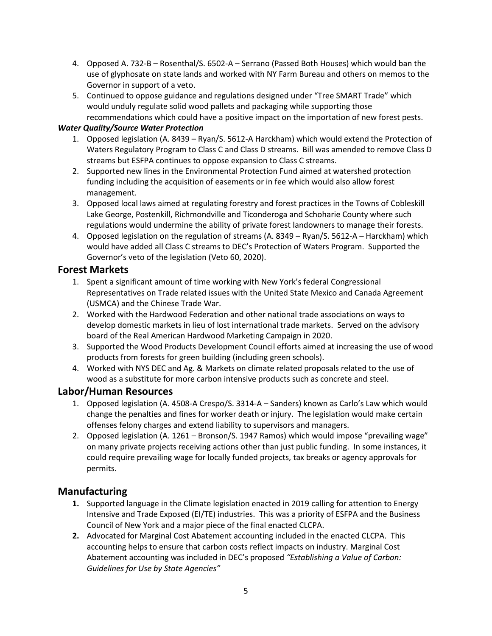- 4. Opposed A. 732-B Rosenthal/S. 6502-A Serrano (Passed Both Houses) which would ban the use of glyphosate on state lands and worked with NY Farm Bureau and others on memos to the Governor in support of a veto.
- 5. Continued to oppose guidance and regulations designed under "Tree SMART Trade" which would unduly regulate solid wood pallets and packaging while supporting those recommendations which could have a positive impact on the importation of new forest pests.

#### *Water Quality/Source Water Protection*

- 1. Opposed legislation (A. 8439 Ryan/S. 5612-A Harckham) which would extend the Protection of Waters Regulatory Program to Class C and Class D streams. Bill was amended to remove Class D streams but ESFPA continues to oppose expansion to Class C streams.
- 2. Supported new lines in the Environmental Protection Fund aimed at watershed protection funding including the acquisition of easements or in fee which would also allow forest management.
- 3. Opposed local laws aimed at regulating forestry and forest practices in the Towns of Cobleskill Lake George, Postenkill, Richmondville and Ticonderoga and Schoharie County where such regulations would undermine the ability of private forest landowners to manage their forests.
- 4. Opposed legislation on the regulation of streams (A. 8349 Ryan/S. 5612-A Harckham) which would have added all Class C streams to DEC's Protection of Waters Program. Supported the Governor's veto of the legislation (Veto 60, 2020).

## **Forest Markets**

- 1. Spent a significant amount of time working with New York's federal Congressional Representatives on Trade related issues with the United State Mexico and Canada Agreement (USMCA) and the Chinese Trade War.
- 2. Worked with the Hardwood Federation and other national trade associations on ways to develop domestic markets in lieu of lost international trade markets. Served on the advisory board of the Real American Hardwood Marketing Campaign in 2020.
- 3. Supported the Wood Products Development Council efforts aimed at increasing the use of wood products from forests for green building (including green schools).
- 4. Worked with NYS DEC and Ag. & Markets on climate related proposals related to the use of wood as a substitute for more carbon intensive products such as concrete and steel.

## **Labor/Human Resources**

- 1. Opposed legislation (A. 4508-A Crespo/S. 3314-A Sanders) known as Carlo's Law which would change the penalties and fines for worker death or injury. The legislation would make certain offenses felony charges and extend liability to supervisors and managers.
- 2. Opposed legislation (A. 1261 Bronson/S. 1947 Ramos) which would impose "prevailing wage" on many private projects receiving actions other than just public funding. In some instances, it could require prevailing wage for locally funded projects, tax breaks or agency approvals for permits.

# **Manufacturing**

- **1.** Supported language in the Climate legislation enacted in 2019 calling for attention to Energy Intensive and Trade Exposed (EI/TE) industries. This was a priority of ESFPA and the Business Council of New York and a major piece of the final enacted CLCPA.
- **2.** Advocated for Marginal Cost Abatement accounting included in the enacted CLCPA. This accounting helps to ensure that carbon costs reflect impacts on industry. Marginal Cost Abatement accounting was included in DEC's proposed *"Establishing a Value of Carbon: Guidelines for Use by State Agencies"*